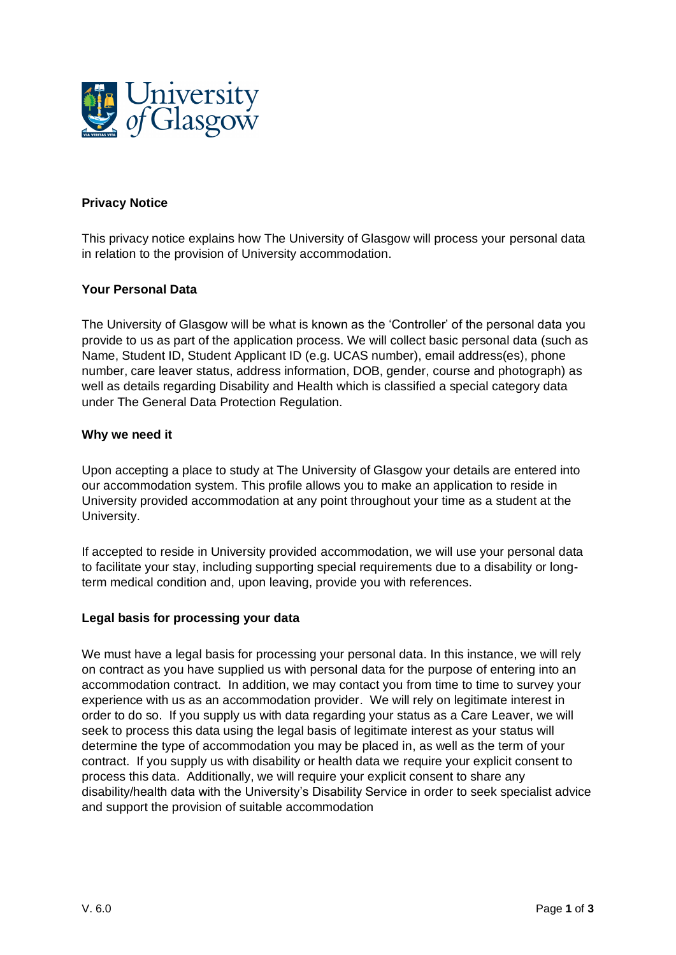

# **Privacy Notice**

This privacy notice explains how The University of Glasgow will process your personal data in relation to the provision of University accommodation.

## **Your Personal Data**

The University of Glasgow will be what is known as the 'Controller' of the personal data you provide to us as part of the application process. We will collect basic personal data (such as Name, Student ID, Student Applicant ID (e.g. UCAS number), email address(es), phone number, care leaver status, address information, DOB, gender, course and photograph) as well as details regarding Disability and Health which is classified a special category data under The General Data Protection Regulation.

#### **Why we need it**

Upon accepting a place to study at The University of Glasgow your details are entered into our accommodation system. This profile allows you to make an application to reside in University provided accommodation at any point throughout your time as a student at the University.

If accepted to reside in University provided accommodation, we will use your personal data to facilitate your stay, including supporting special requirements due to a disability or longterm medical condition and, upon leaving, provide you with references.

#### **Legal basis for processing your data**

We must have a legal basis for processing your personal data. In this instance, we will rely on contract as you have supplied us with personal data for the purpose of entering into an accommodation contract. In addition, we may contact you from time to time to survey your experience with us as an accommodation provider. We will rely on legitimate interest in order to do so. If you supply us with data regarding your status as a Care Leaver, we will seek to process this data using the legal basis of legitimate interest as your status will determine the type of accommodation you may be placed in, as well as the term of your contract. If you supply us with disability or health data we require your explicit consent to process this data. Additionally, we will require your explicit consent to share any disability/health data with the University's Disability Service in order to seek specialist advice and support the provision of suitable accommodation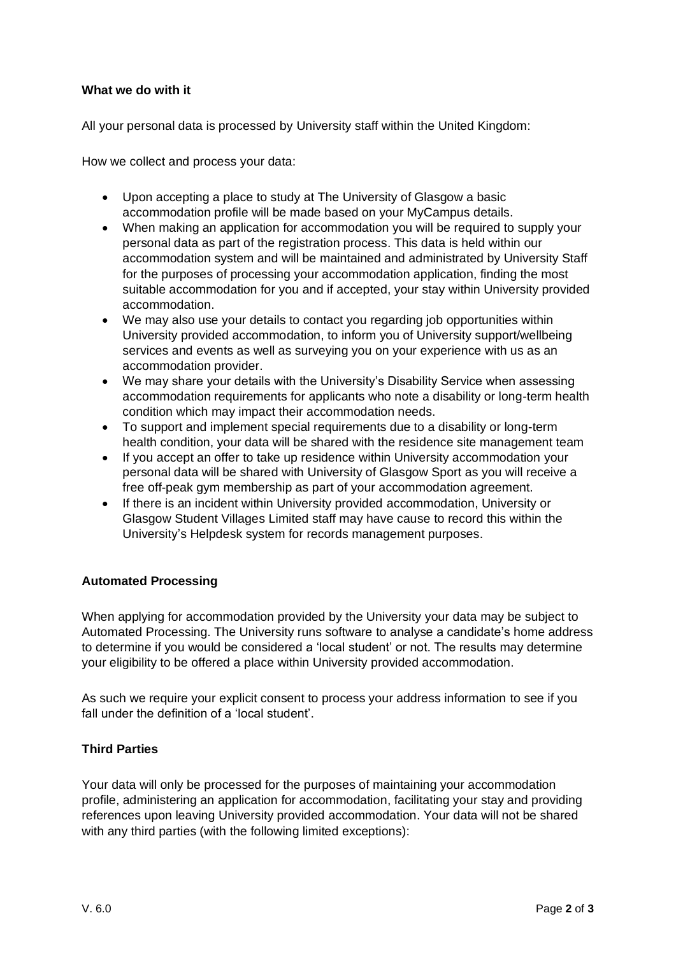# **What we do with it**

All your personal data is processed by University staff within the United Kingdom:

How we collect and process your data:

- Upon accepting a place to study at The University of Glasgow a basic accommodation profile will be made based on your MyCampus details.
- When making an application for accommodation you will be required to supply your personal data as part of the registration process. This data is held within our accommodation system and will be maintained and administrated by University Staff for the purposes of processing your accommodation application, finding the most suitable accommodation for you and if accepted, your stay within University provided accommodation.
- We may also use your details to contact you regarding job opportunities within University provided accommodation, to inform you of University support/wellbeing services and events as well as surveying you on your experience with us as an accommodation provider.
- We may share your details with the University's Disability Service when assessing accommodation requirements for applicants who note a disability or long-term health condition which may impact their accommodation needs.
- To support and implement special requirements due to a disability or long-term health condition, your data will be shared with the residence site management team
- If you accept an offer to take up residence within University accommodation your personal data will be shared with University of Glasgow Sport as you will receive a free off-peak gym membership as part of your accommodation agreement.
- If there is an incident within University provided accommodation, University or Glasgow Student Villages Limited staff may have cause to record this within the University's Helpdesk system for records management purposes.

## **Automated Processing**

When applying for accommodation provided by the University your data may be subject to Automated Processing. The University runs software to analyse a candidate's home address to determine if you would be considered a 'local student' or not. The results may determine your eligibility to be offered a place within University provided accommodation.

As such we require your explicit consent to process your address information to see if you fall under the definition of a 'local student'.

## **Third Parties**

Your data will only be processed for the purposes of maintaining your accommodation profile, administering an application for accommodation, facilitating your stay and providing references upon leaving University provided accommodation. Your data will not be shared with any third parties (with the following limited exceptions):